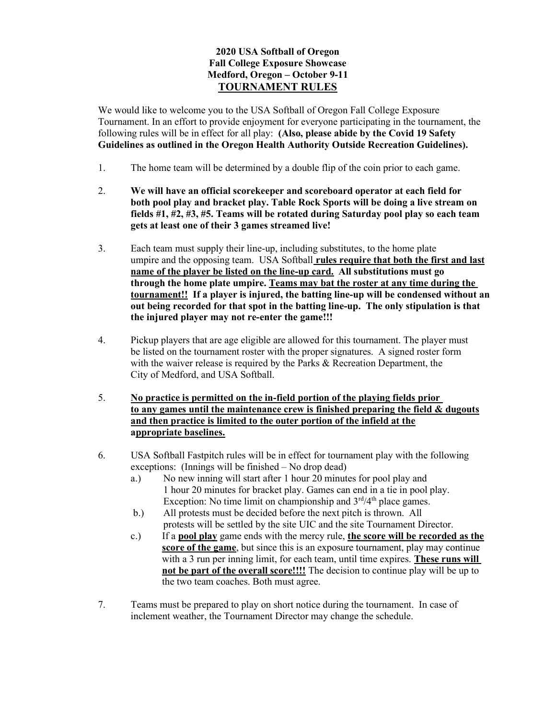## 2020 USA Softball of Oregon Fall College Exposure Showcase Medford, Oregon – October 9-11 TOURNAMENT RULES

We would like to welcome you to the USA Softball of Oregon Fall College Exposure Tournament. In an effort to provide enjoyment for everyone participating in the tournament, the following rules will be in effect for all play: (Also, please abide by the Covid 19 Safety Guidelines as outlined in the Oregon Health Authority Outside Recreation Guidelines).

- 1. The home team will be determined by a double flip of the coin prior to each game.
- 2. We will have an official scorekeeper and scoreboard operator at each field for both pool play and bracket play. Table Rock Sports will be doing a live stream on fields #1, #2, #3, #5. Teams will be rotated during Saturday pool play so each team gets at least one of their 3 games streamed live!
- 3. Each team must supply their line-up, including substitutes, to the home plate umpire and the opposing team. USA Softball rules require that both the first and last name of the player be listed on the line-up card. All substitutions must go through the home plate umpire. Teams may bat the roster at any time during the tournament!! If a player is injured, the batting line-up will be condensed without an out being recorded for that spot in the batting line-up. The only stipulation is that the injured player may not re-enter the game!!!
- 4. Pickup players that are age eligible are allowed for this tournament. The player must be listed on the tournament roster with the proper signatures. A signed roster form with the waiver release is required by the Parks & Recreation Department, the City of Medford, and USA Softball.
- 5. No practice is permitted on the in-field portion of the playing fields prior to any games until the maintenance crew is finished preparing the field & dugouts and then practice is limited to the outer portion of the infield at the appropriate baselines.
- 6. USA Softball Fastpitch rules will be in effect for tournament play with the following exceptions: (Innings will be finished – No drop dead)
	- a.) No new inning will start after 1 hour 20 minutes for pool play and 1 hour 20 minutes for bracket play. Games can end in a tie in pool play. Exception: No time limit on championship and  $3<sup>rd</sup>/4<sup>th</sup>$  place games.
	- b.) All protests must be decided before the next pitch is thrown. All protests will be settled by the site UIC and the site Tournament Director.
	- c.) If a pool play game ends with the mercy rule, the score will be recorded as the score of the game, but since this is an exposure tournament, play may continue with a 3 run per inning limit, for each team, until time expires. **These runs will** not be part of the overall score!!!! The decision to continue play will be up to the two team coaches. Both must agree.
- 7. Teams must be prepared to play on short notice during the tournament. In case of inclement weather, the Tournament Director may change the schedule.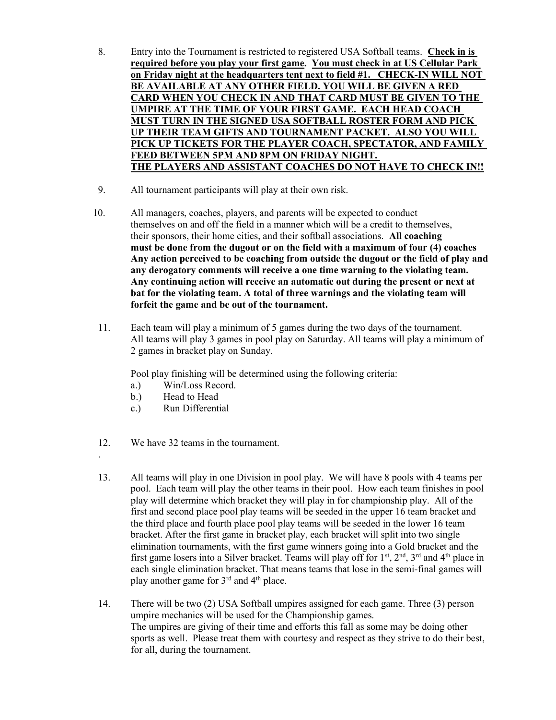- 8. Entry into the Tournament is restricted to registered USA Softball teams. Check in is required before you play your first game. You must check in at US Cellular Park on Friday night at the headquarters tent next to field #1. CHECK-IN WILL NOT BE AVAILABLE AT ANY OTHER FIELD. YOU WILL BE GIVEN A RED CARD WHEN YOU CHECK IN AND THAT CARD MUST BE GIVEN TO THE UMPIRE AT THE TIME OF YOUR FIRST GAME. EACH HEAD COACH MUST TURN IN THE SIGNED USA SOFTBALL ROSTER FORM AND PICK UP THEIR TEAM GIFTS AND TOURNAMENT PACKET. ALSO YOU WILL PICK UP TICKETS FOR THE PLAYER COACH, SPECTATOR, AND FAMILY FEED BETWEEN 5PM AND 8PM ON FRIDAY NIGHT. THE PLAYERS AND ASSISTANT COACHES DO NOT HAVE TO CHECK IN!!
- 9. All tournament participants will play at their own risk.
- 10. All managers, coaches, players, and parents will be expected to conduct themselves on and off the field in a manner which will be a credit to themselves, their sponsors, their home cities, and their softball associations. All coaching must be done from the dugout or on the field with a maximum of four (4) coaches Any action perceived to be coaching from outside the dugout or the field of play and any derogatory comments will receive a one time warning to the violating team. Any continuing action will receive an automatic out during the present or next at bat for the violating team. A total of three warnings and the violating team will forfeit the game and be out of the tournament.
- 11. Each team will play a minimum of 5 games during the two days of the tournament. All teams will play 3 games in pool play on Saturday. All teams will play a minimum of 2 games in bracket play on Sunday.

Pool play finishing will be determined using the following criteria:

- a.) Win/Loss Record.
- b.) Head to Head

.

- c.) Run Differential
- 12. We have 32 teams in the tournament.
- 13. All teams will play in one Division in pool play. We will have 8 pools with 4 teams per pool. Each team will play the other teams in their pool. How each team finishes in pool play will determine which bracket they will play in for championship play. All of the first and second place pool play teams will be seeded in the upper 16 team bracket and the third place and fourth place pool play teams will be seeded in the lower 16 team bracket. After the first game in bracket play, each bracket will split into two single elimination tournaments, with the first game winners going into a Gold bracket and the first game losers into a Silver bracket. Teams will play off for  $1<sup>st</sup>$ ,  $2<sup>nd</sup>$ ,  $3<sup>rd</sup>$  and  $4<sup>th</sup>$  place in each single elimination bracket. That means teams that lose in the semi-final games will play another game for 3rd and 4th place.
- 14. There will be two (2) USA Softball umpires assigned for each game. Three (3) person umpire mechanics will be used for the Championship games. The umpires are giving of their time and efforts this fall as some may be doing other sports as well. Please treat them with courtesy and respect as they strive to do their best, for all, during the tournament.